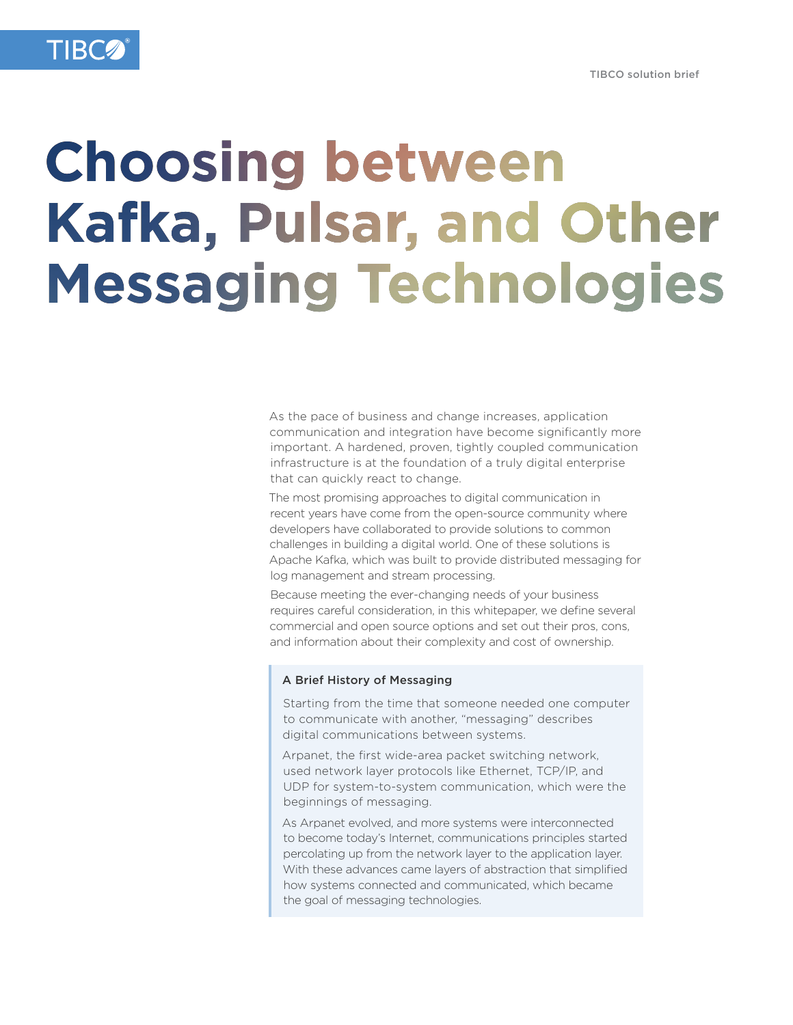

# **Choosing between Kafka, Pulsar, and Other Messaging Technologies**

As the pace of business and change increases, application communication and integration have become significantly more important. A hardened, proven, tightly coupled communication infrastructure is at the foundation of a truly digital enterprise that can quickly react to change.

The most promising approaches to digital communication in recent years have come from the open-source community where developers have collaborated to provide solutions to common challenges in building a digital world. One of these solutions is Apache Kafka, which was built to provide distributed messaging for log management and stream processing.

Because meeting the ever-changing needs of your business requires careful consideration, in this whitepaper, we define several commercial and open source options and set out their pros, cons, and information about their complexity and cost of ownership.

#### A Brief History of Messaging

Starting from the time that someone needed one computer to communicate with another, "messaging" describes digital communications between systems.

Arpanet, the first wide-area packet switching network, used network layer protocols like Ethernet, TCP/IP, and UDP for system-to-system communication, which were the beginnings of messaging.

As Arpanet evolved, and more systems were interconnected to become today's Internet, communications principles started percolating up from the network layer to the application layer. With these advances came layers of abstraction that simplified how systems connected and communicated, which became the goal of messaging technologies.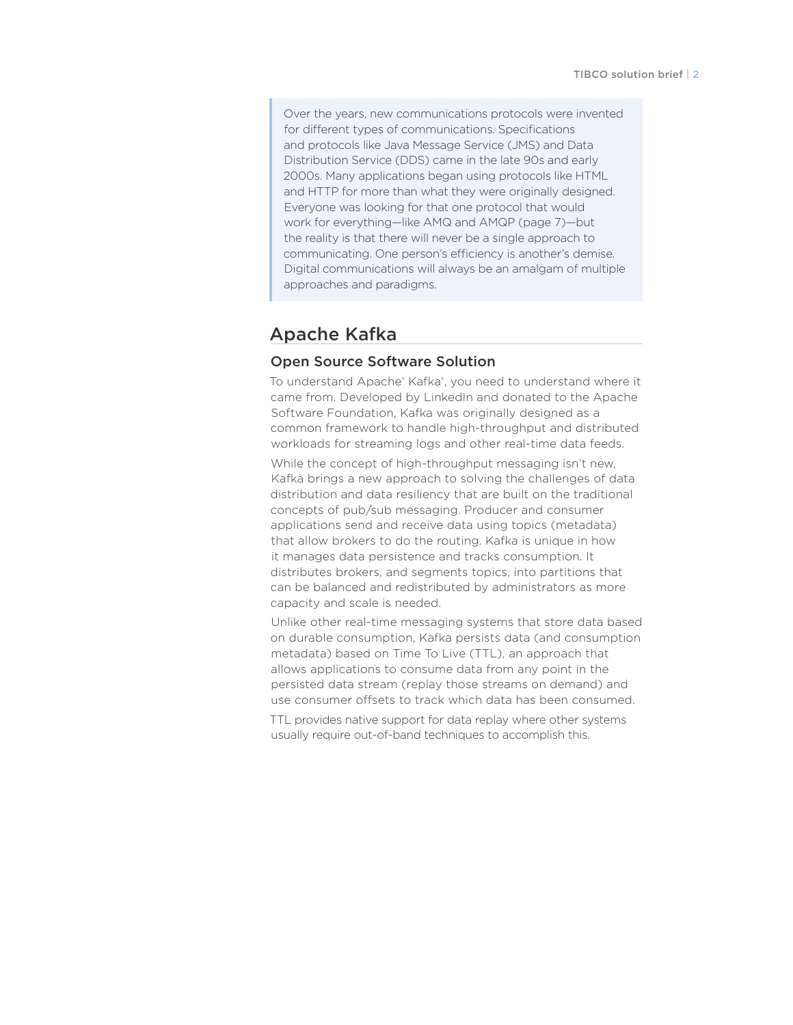Over the years, new communications protocols were invented for different types of communications. Specifications and protocols like Java Message Service (JMS) and Data Distribution Service (DDS) came in the late 90s and early 2000s. Many applications began using protocols like HTML and HTTP for more than what they were originally designed. Everyone was looking for that one protocol that would work for everything—like AMQ and AMQP (page 7)—but the reality is that there will never be a single approach to communicating. One person's efficiency is another's demise. Digital communications will always be an amalgam of multiple approaches and paradigms.

## Apache Kafka

## Open Source Software Solution

To understand Apache® Kafka®, you need to understand where it came from. Developed by LinkedIn and donated to the Apache Software Foundation, Kafka was originally designed as a common framework to handle high-throughput and distributed workloads for streaming logs and other real-time data feeds.

While the concept of high-throughput messaging isn't new, Kafka brings a new approach to solving the challenges of data distribution and data resiliency that are built on the traditional concepts of pub/sub messaging. Producer and consumer applications send and receive data using topics (metadata) that allow brokers to do the routing. Kafka is unique in how it manages data persistence and tracks consumption. It distributes brokers, and segments topics, into partitions that can be balanced and redistributed by administrators as more capacity and scale is needed.

Unlike other real-time messaging systems that store data based on durable consumption, Kafka persists data (and consumption metadata) based on Time To Live (TTL), an approach that allows applications to consume data from any point in the persisted data stream (replay those streams on demand) and use consumer offsets to track which data has been consumed.

TTL provides native support for data replay where other systems usually require out-of-band techniques to accomplish this.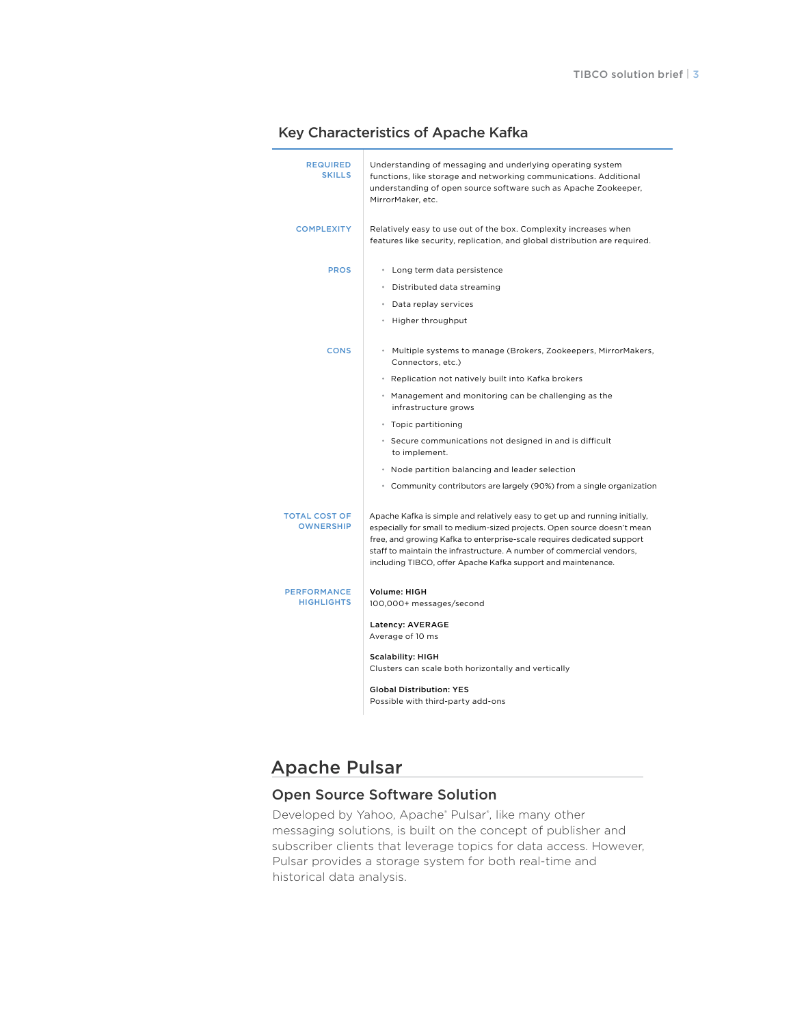|  | <b>Key Characteristics of Apache Kafka</b> |  |  |
|--|--------------------------------------------|--|--|
|--|--------------------------------------------|--|--|

| <b>REQUIRED</b><br><b>SKILLS</b>        | Understanding of messaging and underlying operating system<br>functions, like storage and networking communications. Additional<br>understanding of open source software such as Apache Zookeeper,<br>MirrorMaker, etc.                                                                                                                                                   |
|-----------------------------------------|---------------------------------------------------------------------------------------------------------------------------------------------------------------------------------------------------------------------------------------------------------------------------------------------------------------------------------------------------------------------------|
| <b>COMPLEXITY</b>                       | Relatively easy to use out of the box. Complexity increases when<br>features like security, replication, and global distribution are required.                                                                                                                                                                                                                            |
| <b>PROS</b>                             | • Long term data persistence                                                                                                                                                                                                                                                                                                                                              |
|                                         | • Distributed data streaming                                                                                                                                                                                                                                                                                                                                              |
|                                         | • Data replay services                                                                                                                                                                                                                                                                                                                                                    |
|                                         | • Higher throughput                                                                                                                                                                                                                                                                                                                                                       |
| <b>CONS</b>                             | • Multiple systems to manage (Brokers, Zookeepers, MirrorMakers,<br>Connectors, etc.)                                                                                                                                                                                                                                                                                     |
|                                         | • Replication not natively built into Kafka brokers                                                                                                                                                                                                                                                                                                                       |
|                                         | • Management and monitoring can be challenging as the<br>infrastructure grows                                                                                                                                                                                                                                                                                             |
|                                         | • Topic partitioning                                                                                                                                                                                                                                                                                                                                                      |
|                                         | • Secure communications not designed in and is difficult<br>to implement.                                                                                                                                                                                                                                                                                                 |
|                                         | • Node partition balancing and leader selection                                                                                                                                                                                                                                                                                                                           |
|                                         | • Community contributors are largely (90%) from a single organization                                                                                                                                                                                                                                                                                                     |
| TOTAL COST OF<br><b>OWNERSHIP</b>       | Apache Kafka is simple and relatively easy to get up and running initially,<br>especially for small to medium-sized projects. Open source doesn't mean<br>free, and growing Kafka to enterprise-scale requires dedicated support<br>staff to maintain the infrastructure. A number of commercial vendors,<br>including TIBCO, offer Apache Kafka support and maintenance. |
| <b>PERFORMANCE</b><br><b>HIGHLIGHTS</b> | Volume: HIGH<br>100,000+ messages/second                                                                                                                                                                                                                                                                                                                                  |
|                                         | Latency: AVERAGE<br>Average of 10 ms                                                                                                                                                                                                                                                                                                                                      |
|                                         | <b>Scalability: HIGH</b><br>Clusters can scale both horizontally and vertically                                                                                                                                                                                                                                                                                           |
|                                         | <b>Global Distribution: YES</b><br>Possible with third-party add-ons                                                                                                                                                                                                                                                                                                      |

# Apache Pulsar

## Open Source Software Solution

Developed by Yahoo, Apache® Pulsar®, like many other messaging solutions, is built on the concept of publisher and subscriber clients that leverage topics for data access. However, Pulsar provides a storage system for both real-time and historical data analysis.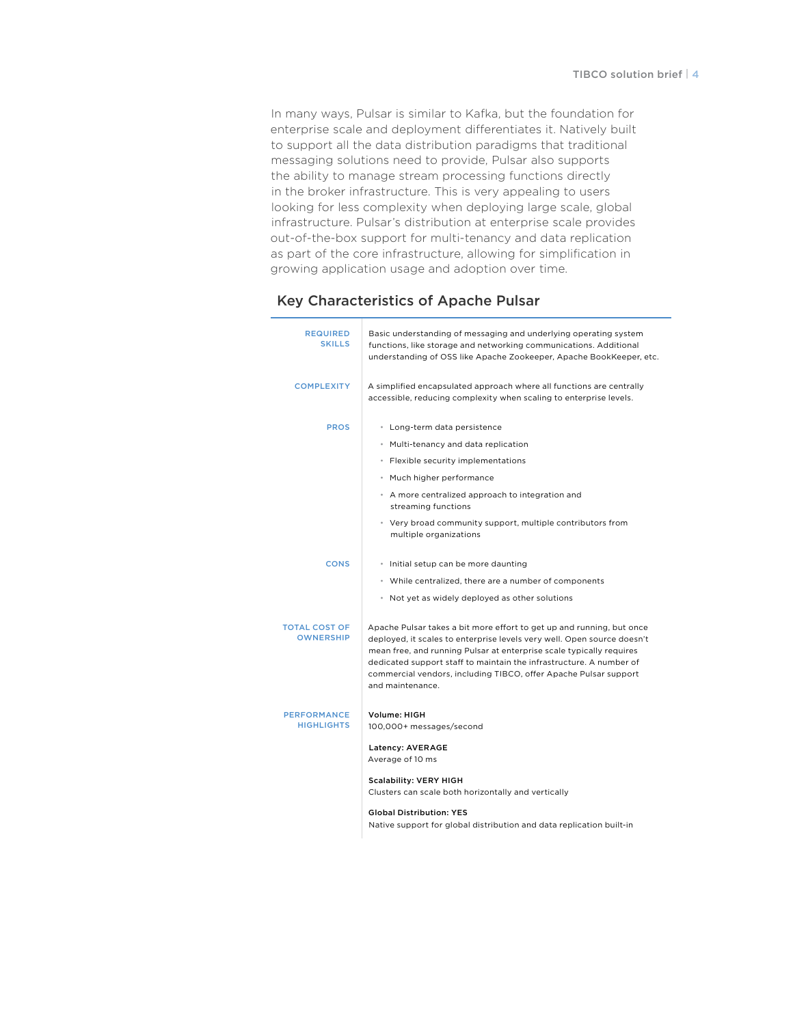In many ways, Pulsar is similar to Kafka, but the foundation for enterprise scale and deployment differentiates it. Natively built to support all the data distribution paradigms that traditional messaging solutions need to provide, Pulsar also supports the ability to manage stream processing functions directly in the broker infrastructure. This is very appealing to users looking for less complexity when deploying large scale, global infrastructure. Pulsar's distribution at enterprise scale provides out-of-the-box support for multi-tenancy and data replication as part of the core infrastructure, allowing for simplification in growing application usage and adoption over time.

#### Key Characteristics of Apache Pulsar

| <b>REQUIRED</b><br><b>SKILLS</b>        | Basic understanding of messaging and underlying operating system<br>functions, like storage and networking communications. Additional<br>understanding of OSS like Apache Zookeeper, Apache BookKeeper, etc.                                                                                                                                                                            |
|-----------------------------------------|-----------------------------------------------------------------------------------------------------------------------------------------------------------------------------------------------------------------------------------------------------------------------------------------------------------------------------------------------------------------------------------------|
| <b>COMPLEXITY</b>                       | A simplified encapsulated approach where all functions are centrally<br>accessible, reducing complexity when scaling to enterprise levels.                                                                                                                                                                                                                                              |
| <b>PROS</b>                             | • Long-term data persistence                                                                                                                                                                                                                                                                                                                                                            |
|                                         | • Multi-tenancy and data replication                                                                                                                                                                                                                                                                                                                                                    |
|                                         | • Flexible security implementations                                                                                                                                                                                                                                                                                                                                                     |
|                                         | • Much higher performance                                                                                                                                                                                                                                                                                                                                                               |
|                                         | • A more centralized approach to integration and<br>streaming functions                                                                                                                                                                                                                                                                                                                 |
|                                         | • Very broad community support, multiple contributors from<br>multiple organizations                                                                                                                                                                                                                                                                                                    |
| <b>CONS</b>                             | • Initial setup can be more daunting                                                                                                                                                                                                                                                                                                                                                    |
|                                         | • While centralized, there are a number of components                                                                                                                                                                                                                                                                                                                                   |
|                                         | • Not yet as widely deployed as other solutions                                                                                                                                                                                                                                                                                                                                         |
| TOTAL COST OF<br><b>OWNERSHIP</b>       | Apache Pulsar takes a bit more effort to get up and running, but once<br>deployed, it scales to enterprise levels very well. Open source doesn't<br>mean free, and running Pulsar at enterprise scale typically requires<br>dedicated support staff to maintain the infrastructure. A number of<br>commercial vendors, including TIBCO, offer Apache Pulsar support<br>and maintenance. |
| <b>PERFORMANCE</b><br><b>HIGHLIGHTS</b> | Volume: HIGH<br>100,000+ messages/second                                                                                                                                                                                                                                                                                                                                                |
|                                         | Latency: AVERAGE<br>Average of 10 ms                                                                                                                                                                                                                                                                                                                                                    |
|                                         | <b>Scalability: VERY HIGH</b><br>Clusters can scale both horizontally and vertically                                                                                                                                                                                                                                                                                                    |
|                                         | <b>Global Distribution: YES</b>                                                                                                                                                                                                                                                                                                                                                         |

Native support for global distribution and data replication built-in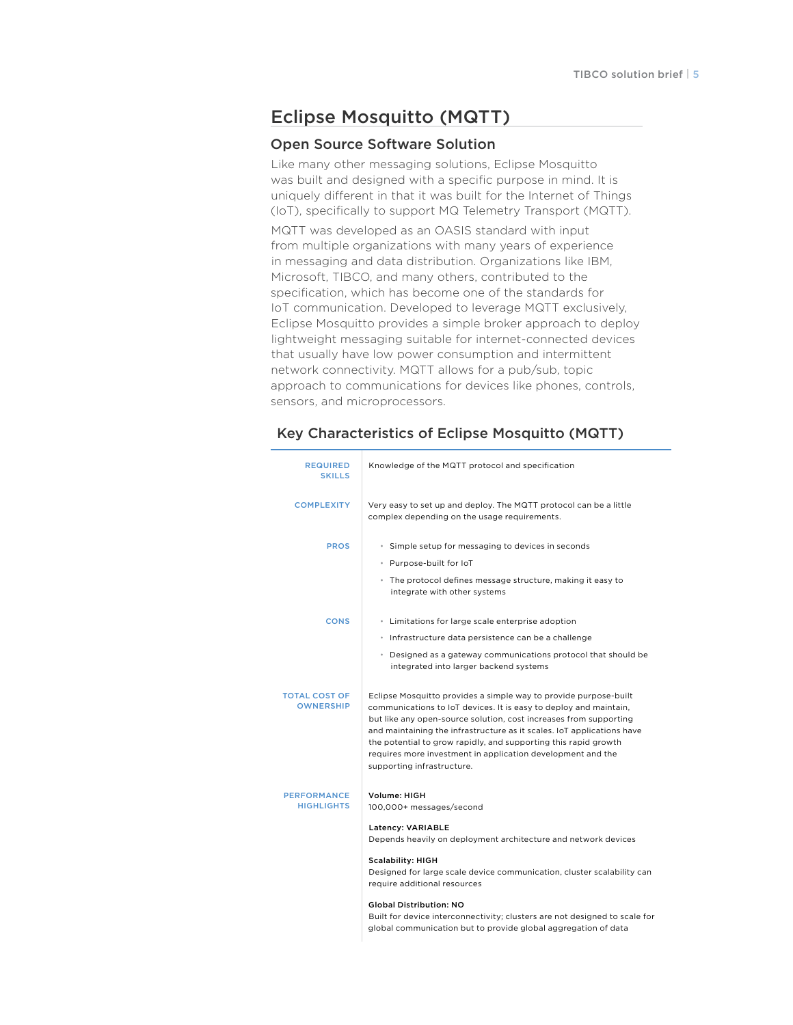# Eclipse Mosquitto (MQTT)

#### Open Source Software Solution

Like many other messaging solutions, Eclipse Mosquitto was built and designed with a specific purpose in mind. It is uniquely different in that it was built for the Internet of Things (IoT), specifically to support MQ Telemetry Transport (MQTT).

MQTT was developed as an OASIS standard with input from multiple organizations with many years of experience in messaging and data distribution. Organizations like IBM, Microsoft, TIBCO, and many others, contributed to the specification, which has become one of the standards for IoT communication. Developed to leverage MQTT exclusively, Eclipse Mosquitto provides a simple broker approach to deploy lightweight messaging suitable for internet-connected devices that usually have low power consumption and intermittent network connectivity. MQTT allows for a pub/sub, topic approach to communications for devices like phones, controls, sensors, and microprocessors.

| <b>REQUIRED</b><br><b>SKILLS</b>        | Knowledge of the MQTT protocol and specification                                                                                                                                                                                                                                                                                                                                                                                                        |
|-----------------------------------------|---------------------------------------------------------------------------------------------------------------------------------------------------------------------------------------------------------------------------------------------------------------------------------------------------------------------------------------------------------------------------------------------------------------------------------------------------------|
| <b>COMPLEXITY</b>                       | Very easy to set up and deploy. The MQTT protocol can be a little<br>complex depending on the usage requirements.                                                                                                                                                                                                                                                                                                                                       |
| <b>PROS</b>                             | • Simple setup for messaging to devices in seconds<br>• Purpose-built for IoT<br>• The protocol defines message structure, making it easy to<br>integrate with other systems                                                                                                                                                                                                                                                                            |
| <b>CONS</b>                             | • Limitations for large scale enterprise adoption<br>· Infrastructure data persistence can be a challenge<br>• Designed as a gateway communications protocol that should be<br>integrated into larger backend systems                                                                                                                                                                                                                                   |
| TOTAL COST OF<br><b>OWNERSHIP</b>       | Eclipse Mosquitto provides a simple way to provide purpose-built<br>communications to IoT devices. It is easy to deploy and maintain,<br>but like any open-source solution, cost increases from supporting<br>and maintaining the infrastructure as it scales. IoT applications have<br>the potential to grow rapidly, and supporting this rapid growth<br>requires more investment in application development and the<br>supporting infrastructure.    |
| <b>PERFORMANCE</b><br><b>HIGHLIGHTS</b> | Volume: HIGH<br>100,000+ messages/second<br>Latency: VARIABLE<br>Depends heavily on deployment architecture and network devices<br><b>Scalability: HIGH</b><br>Designed for large scale device communication, cluster scalability can<br>require additional resources<br><b>Global Distribution: NO</b><br>Built for device interconnectivity; clusters are not designed to scale for<br>global communication but to provide global aggregation of data |

#### Key Characteristics of Eclipse Mosquitto (MQTT)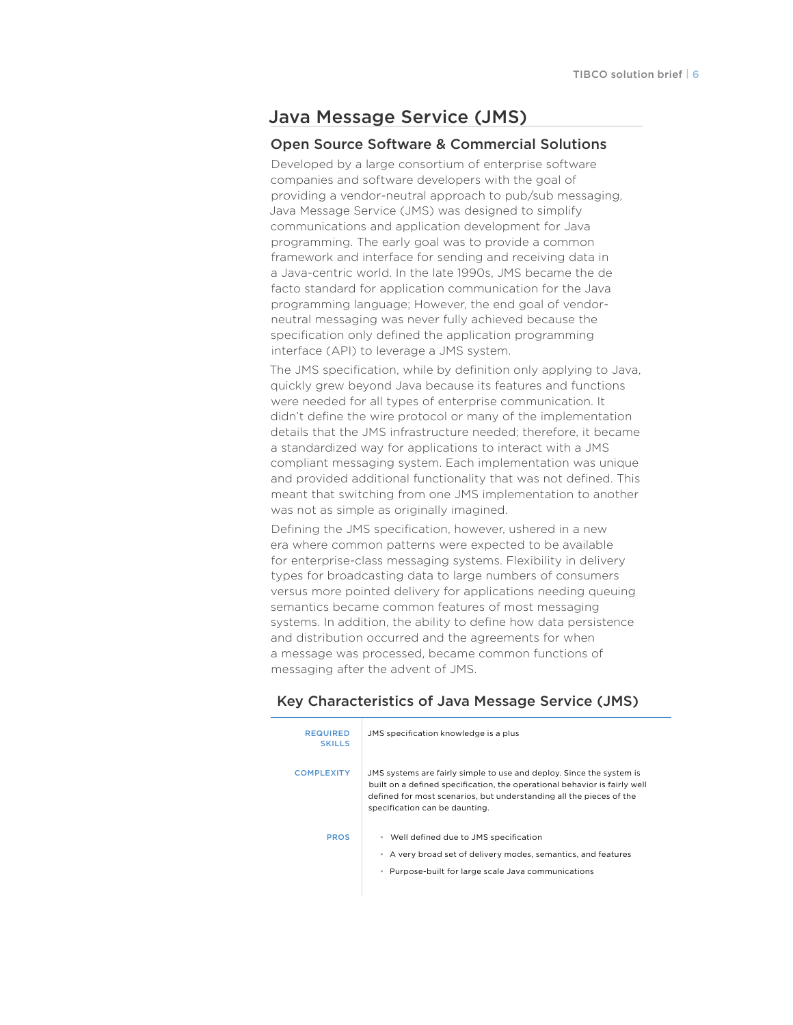## Java Message Service (JMS)

#### Open Source Software & Commercial Solutions

Developed by a large consortium of enterprise software companies and software developers with the goal of providing a vendor-neutral approach to pub/sub messaging, Java Message Service (JMS) was designed to simplify communications and application development for Java programming. The early goal was to provide a common framework and interface for sending and receiving data in a Java-centric world. In the late 1990s, JMS became the de facto standard for application communication for the Java programming language; However, the end goal of vendorneutral messaging was never fully achieved because the specification only defined the application programming interface (API) to leverage a JMS system.

The JMS specification, while by definition only applying to Java, quickly grew beyond Java because its features and functions were needed for all types of enterprise communication. It didn't define the wire protocol or many of the implementation details that the JMS infrastructure needed; therefore, it became a standardized way for applications to interact with a JMS compliant messaging system. Each implementation was unique and provided additional functionality that was not defined. This meant that switching from one JMS implementation to another was not as simple as originally imagined.

Defining the JMS specification, however, ushered in a new era where common patterns were expected to be available for enterprise-class messaging systems. Flexibility in delivery types for broadcasting data to large numbers of consumers versus more pointed delivery for applications needing queuing semantics became common features of most messaging systems. In addition, the ability to define how data persistence and distribution occurred and the agreements for when a message was processed, became common functions of messaging after the advent of JMS.

| <b>REQUIRED</b><br><b>SKILLS</b> | JMS specification knowledge is a plus                                                                                                                                                                                                                      |
|----------------------------------|------------------------------------------------------------------------------------------------------------------------------------------------------------------------------------------------------------------------------------------------------------|
| <b>COMPLEXITY</b>                | JMS systems are fairly simple to use and deploy. Since the system is<br>built on a defined specification, the operational behavior is fairly well<br>defined for most scenarios, but understanding all the pieces of the<br>specification can be daunting. |
| <b>PROS</b>                      | • Well defined due to JMS specification<br>A very broad set of delivery modes, semantics, and features<br>Purpose-built for large scale Java communications<br>۰                                                                                           |

#### Key Characteristics of Java Message Service (JMS)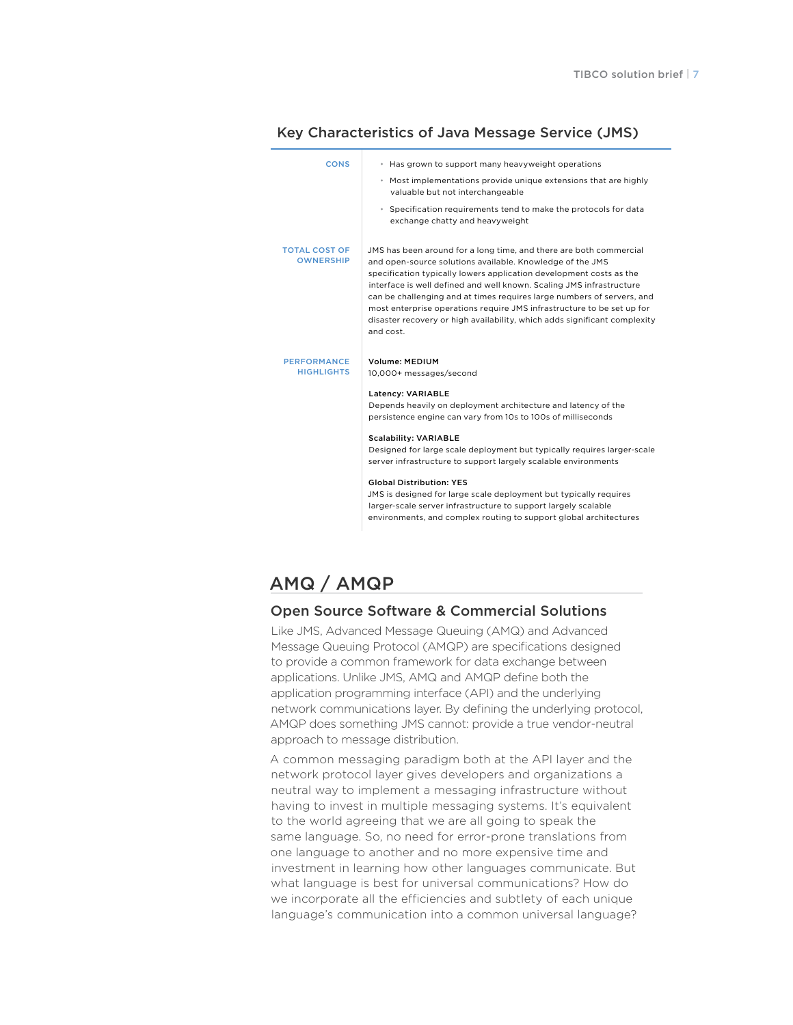| <b>CONS</b>                              | * Has grown to support many heavyweight operations<br>• Most implementations provide unique extensions that are highly<br>valuable but not interchangeable<br>• Specification requirements tend to make the protocols for data<br>exchange chatty and heavyweight                                                                                                                                                                                                                                                                                                                                                                  |
|------------------------------------------|------------------------------------------------------------------------------------------------------------------------------------------------------------------------------------------------------------------------------------------------------------------------------------------------------------------------------------------------------------------------------------------------------------------------------------------------------------------------------------------------------------------------------------------------------------------------------------------------------------------------------------|
| <b>TOTAL COST OF</b><br><b>OWNERSHIP</b> | JMS has been around for a long time, and there are both commercial<br>and open-source solutions available. Knowledge of the JMS<br>specification typically lowers application development costs as the<br>interface is well defined and well known. Scaling JMS infrastructure<br>can be challenging and at times requires large numbers of servers, and<br>most enterprise operations require JMS infrastructure to be set up for<br>disaster recovery or high availability, which adds significant complexity<br>and cost.                                                                                                       |
| <b>PERFORMANCE</b><br><b>HIGHLIGHTS</b>  | <b>Volume: MEDIUM</b><br>10,000+ messages/second<br>Latency: VARIABLE<br>Depends heavily on deployment architecture and latency of the<br>persistence engine can vary from 10s to 100s of milliseconds<br><b>Scalability: VARIABLE</b><br>Designed for large scale deployment but typically requires larger-scale<br>server infrastructure to support largely scalable environments<br><b>Global Distribution: YES</b><br>JMS is designed for large scale deployment but typically requires<br>larger-scale server infrastructure to support largely scalable<br>environments, and complex routing to support global architectures |

#### Key Characteristics of Java Message Service (JMS)

## AMQ / AMQP

#### Open Source Software & Commercial Solutions

Like JMS, Advanced Message Queuing (AMQ) and Advanced Message Queuing Protocol (AMQP) are specifications designed to provide a common framework for data exchange between applications. Unlike JMS, AMQ and AMQP define both the application programming interface (API) and the underlying network communications layer. By defining the underlying protocol, AMQP does something JMS cannot: provide a true vendor-neutral approach to message distribution.

A common messaging paradigm both at the API layer and the network protocol layer gives developers and organizations a neutral way to implement a messaging infrastructure without having to invest in multiple messaging systems. It's equivalent to the world agreeing that we are all going to speak the same language. So, no need for error-prone translations from one language to another and no more expensive time and investment in learning how other languages communicate. But what language is best for universal communications? How do we incorporate all the efficiencies and subtlety of each unique language's communication into a common universal language?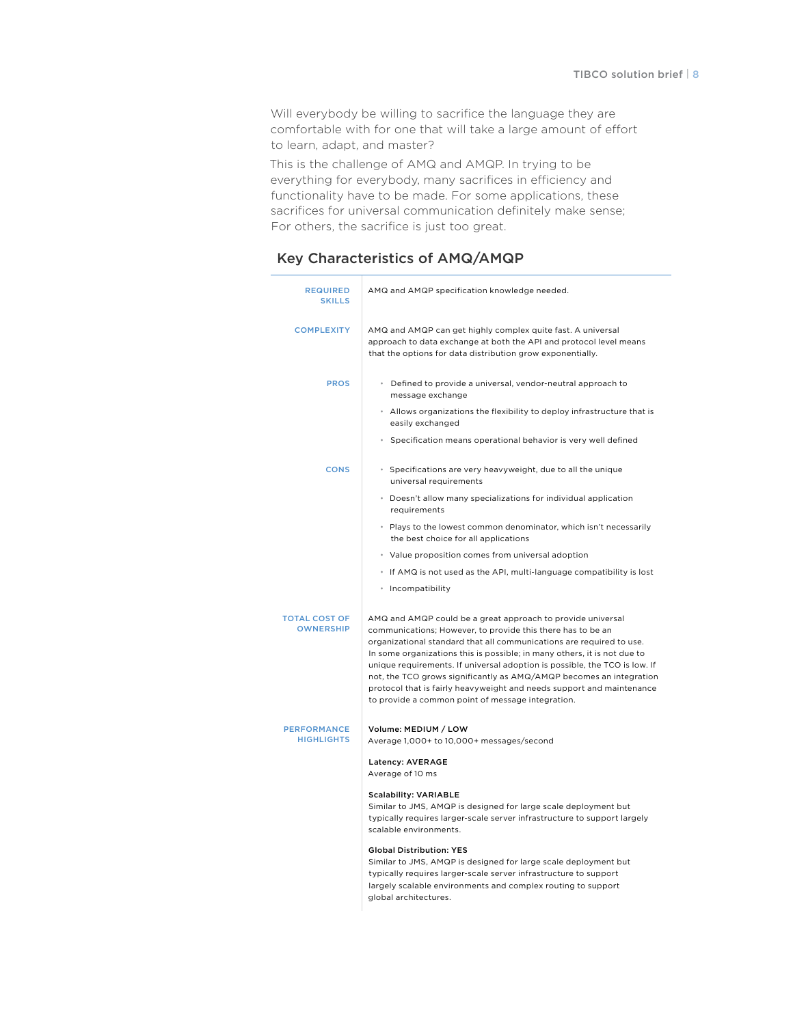Will everybody be willing to sacrifice the language they are comfortable with for one that will take a large amount of effort to learn, adapt, and master?

This is the challenge of AMQ and AMQP. In trying to be everything for everybody, many sacrifices in efficiency and functionality have to be made. For some applications, these sacrifices for universal communication definitely make sense; For others, the sacrifice is just too great.

## Key Characteristics of AMQ/AMQP

| <b>REQUIRED</b><br><b>SKILLS</b>         | AMQ and AMQP specification knowledge needed.                                                                                                                                                                                                                                                                                                                                                                                                                                                                                                                      |
|------------------------------------------|-------------------------------------------------------------------------------------------------------------------------------------------------------------------------------------------------------------------------------------------------------------------------------------------------------------------------------------------------------------------------------------------------------------------------------------------------------------------------------------------------------------------------------------------------------------------|
| <b>COMPLEXITY</b>                        | AMQ and AMQP can get highly complex quite fast. A universal<br>approach to data exchange at both the API and protocol level means<br>that the options for data distribution grow exponentially.                                                                                                                                                                                                                                                                                                                                                                   |
| <b>PROS</b>                              | • Defined to provide a universal, vendor-neutral approach to<br>message exchange                                                                                                                                                                                                                                                                                                                                                                                                                                                                                  |
|                                          | • Allows organizations the flexibility to deploy infrastructure that is<br>easily exchanged                                                                                                                                                                                                                                                                                                                                                                                                                                                                       |
|                                          | • Specification means operational behavior is very well defined                                                                                                                                                                                                                                                                                                                                                                                                                                                                                                   |
| <b>CONS</b>                              | • Specifications are very heavyweight, due to all the unique<br>universal requirements                                                                                                                                                                                                                                                                                                                                                                                                                                                                            |
|                                          | • Doesn't allow many specializations for individual application<br>requirements                                                                                                                                                                                                                                                                                                                                                                                                                                                                                   |
|                                          | • Plays to the lowest common denominator, which isn't necessarily<br>the best choice for all applications                                                                                                                                                                                                                                                                                                                                                                                                                                                         |
|                                          | • Value proposition comes from universal adoption                                                                                                                                                                                                                                                                                                                                                                                                                                                                                                                 |
|                                          | If AMQ is not used as the API, multi-language compatibility is lost                                                                                                                                                                                                                                                                                                                                                                                                                                                                                               |
|                                          | • Incompatibility                                                                                                                                                                                                                                                                                                                                                                                                                                                                                                                                                 |
| <b>TOTAL COST OF</b><br><b>OWNERSHIP</b> | AMQ and AMQP could be a great approach to provide universal<br>communications; However, to provide this there has to be an<br>organizational standard that all communications are required to use.<br>In some organizations this is possible; in many others, it is not due to<br>unique requirements. If universal adoption is possible, the TCO is low. If<br>not, the TCO grows significantly as AMQ/AMQP becomes an integration<br>protocol that is fairly heavyweight and needs support and maintenance<br>to provide a common point of message integration. |
| <b>PERFORMANCE</b><br><b>HIGHLIGHTS</b>  | Volume: MEDIUM / LOW<br>Average 1,000+ to 10,000+ messages/second                                                                                                                                                                                                                                                                                                                                                                                                                                                                                                 |
|                                          | Latency: AVERAGE<br>Average of 10 ms                                                                                                                                                                                                                                                                                                                                                                                                                                                                                                                              |
|                                          | <b>Scalability: VARIABLE</b><br>Similar to JMS, AMQP is designed for large scale deployment but<br>typically requires larger-scale server infrastructure to support largely<br>scalable environments.                                                                                                                                                                                                                                                                                                                                                             |
|                                          | <b>Global Distribution: YES</b><br>Similar to JMS, AMQP is designed for large scale deployment but<br>typically requires larger-scale server infrastructure to support<br>largely scalable environments and complex routing to support                                                                                                                                                                                                                                                                                                                            |

global architectures.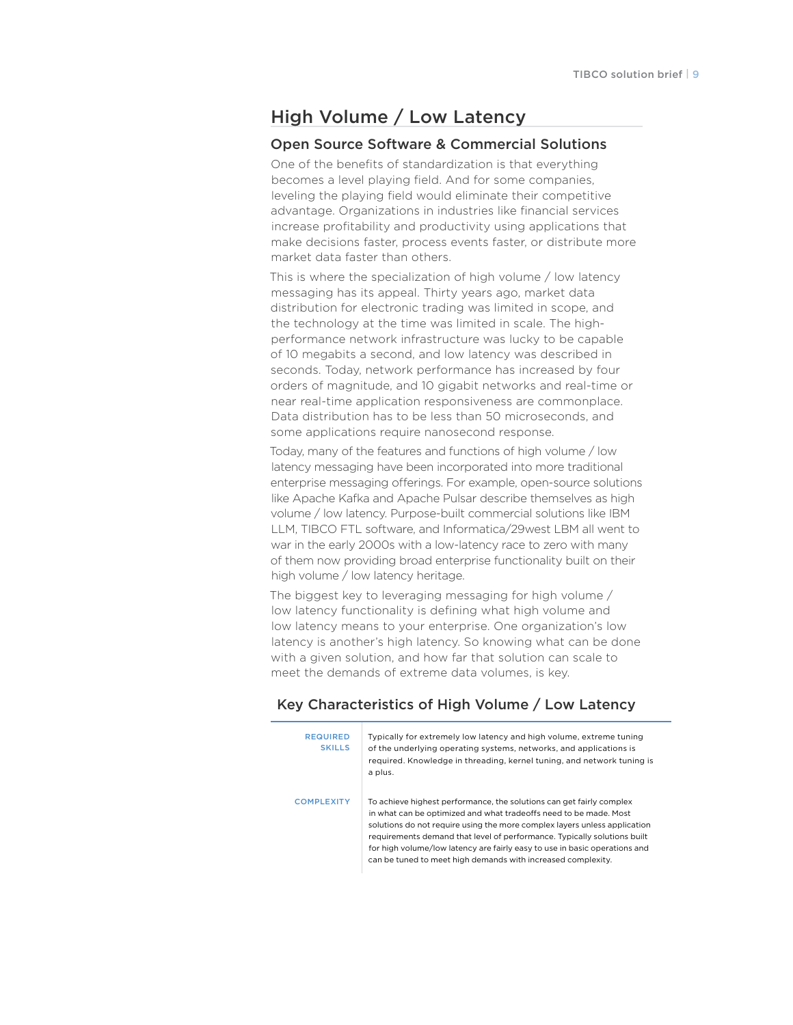# High Volume / Low Latency

#### Open Source Software & Commercial Solutions

One of the benefits of standardization is that everything becomes a level playing field. And for some companies, leveling the playing field would eliminate their competitive advantage. Organizations in industries like financial services increase profitability and productivity using applications that make decisions faster, process events faster, or distribute more market data faster than others.

This is where the specialization of high volume / low latency messaging has its appeal. Thirty years ago, market data distribution for electronic trading was limited in scope, and the technology at the time was limited in scale. The highperformance network infrastructure was lucky to be capable of 10 megabits a second, and low latency was described in seconds. Today, network performance has increased by four orders of magnitude, and 10 gigabit networks and real-time or near real-time application responsiveness are commonplace. Data distribution has to be less than 50 microseconds, and some applications require nanosecond response.

Today, many of the features and functions of high volume / low latency messaging have been incorporated into more traditional enterprise messaging offerings. For example, open-source solutions like Apache Kafka and Apache Pulsar describe themselves as high volume / low latency. Purpose-built commercial solutions like IBM LLM, TIBCO FTL software, and Informatica/29west LBM all went to war in the early 2000s with a low-latency race to zero with many of them now providing broad enterprise functionality built on their high volume / low latency heritage.

The biggest key to leveraging messaging for high volume / low latency functionality is defining what high volume and low latency means to your enterprise. One organization's low latency is another's high latency. So knowing what can be done with a given solution, and how far that solution can scale to meet the demands of extreme data volumes, is key.

## Key Characteristics of High Volume / Low Latency

| <b>REQUIRED</b><br><b>SKILLS</b> | Typically for extremely low latency and high volume, extreme tuning<br>of the underlying operating systems, networks, and applications is<br>required. Knowledge in threading, kernel tuning, and network tuning is<br>a plus.                                                                                                                                                                                                                   |
|----------------------------------|--------------------------------------------------------------------------------------------------------------------------------------------------------------------------------------------------------------------------------------------------------------------------------------------------------------------------------------------------------------------------------------------------------------------------------------------------|
| <b>COMPLEXITY</b>                | To achieve highest performance, the solutions can get fairly complex<br>in what can be optimized and what tradeoffs need to be made. Most<br>solutions do not require using the more complex layers unless application<br>requirements demand that level of performance. Typically solutions built<br>for high volume/low latency are fairly easy to use in basic operations and<br>can be tuned to meet high demands with increased complexity. |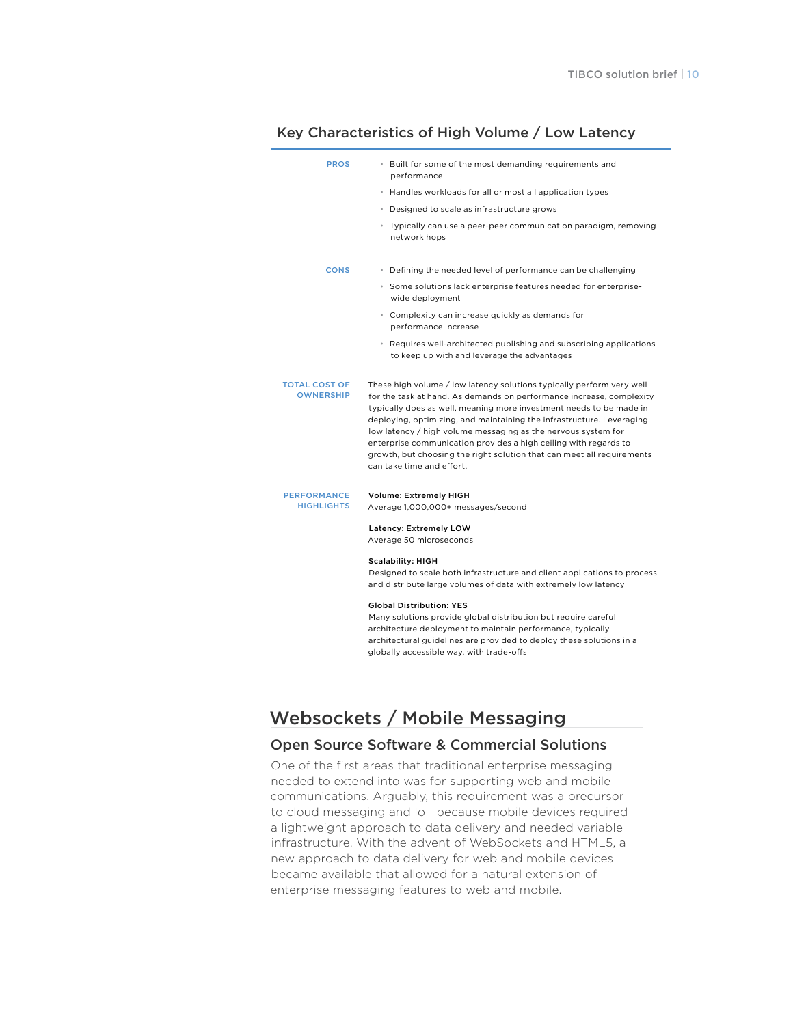| <b>PROS</b>                              | • Built for some of the most demanding requirements and<br>performance                                                                                                                                                                                                                                                                                                                                                                                                                                                                    |
|------------------------------------------|-------------------------------------------------------------------------------------------------------------------------------------------------------------------------------------------------------------------------------------------------------------------------------------------------------------------------------------------------------------------------------------------------------------------------------------------------------------------------------------------------------------------------------------------|
|                                          | • Handles workloads for all or most all application types                                                                                                                                                                                                                                                                                                                                                                                                                                                                                 |
|                                          | • Designed to scale as infrastructure grows                                                                                                                                                                                                                                                                                                                                                                                                                                                                                               |
|                                          | · Typically can use a peer-peer communication paradigm, removing<br>network hops                                                                                                                                                                                                                                                                                                                                                                                                                                                          |
| <b>CONS</b>                              | • Defining the needed level of performance can be challenging                                                                                                                                                                                                                                                                                                                                                                                                                                                                             |
|                                          | • Some solutions lack enterprise features needed for enterprise-<br>wide deployment                                                                                                                                                                                                                                                                                                                                                                                                                                                       |
|                                          | • Complexity can increase quickly as demands for<br>performance increase                                                                                                                                                                                                                                                                                                                                                                                                                                                                  |
|                                          | • Requires well-architected publishing and subscribing applications<br>to keep up with and leverage the advantages                                                                                                                                                                                                                                                                                                                                                                                                                        |
| <b>TOTAL COST OF</b><br><b>OWNERSHIP</b> | These high volume / low latency solutions typically perform very well<br>for the task at hand. As demands on performance increase, complexity<br>typically does as well, meaning more investment needs to be made in<br>deploying, optimizing, and maintaining the infrastructure. Leveraging<br>low latency / high volume messaging as the nervous system for<br>enterprise communication provides a high ceiling with regards to<br>growth, but choosing the right solution that can meet all requirements<br>can take time and effort. |
| <b>PERFORMANCE</b><br><b>HIGHLIGHTS</b>  | <b>Volume: Extremely HIGH</b><br>Average 1,000,000+ messages/second                                                                                                                                                                                                                                                                                                                                                                                                                                                                       |
|                                          | Latency: Extremely LOW<br>Average 50 microseconds                                                                                                                                                                                                                                                                                                                                                                                                                                                                                         |
|                                          | <b>Scalability: HIGH</b><br>Designed to scale both infrastructure and client applications to process<br>and distribute large volumes of data with extremely low latency                                                                                                                                                                                                                                                                                                                                                                   |
|                                          | <b>Global Distribution: YES</b><br>Many solutions provide global distribution but require careful<br>architecture deployment to maintain performance, typically<br>architectural guidelines are provided to deploy these solutions in a<br>globally accessible way, with trade-offs                                                                                                                                                                                                                                                       |
|                                          |                                                                                                                                                                                                                                                                                                                                                                                                                                                                                                                                           |

## Key Characteristics of High Volume / Low Latency

# Websockets / Mobile Messaging

#### Open Source Software & Commercial Solutions

One of the first areas that traditional enterprise messaging needed to extend into was for supporting web and mobile communications. Arguably, this requirement was a precursor to cloud messaging and IoT because mobile devices required a lightweight approach to data delivery and needed variable infrastructure. With the advent of WebSockets and HTML5, a new approach to data delivery for web and mobile devices became available that allowed for a natural extension of enterprise messaging features to web and mobile.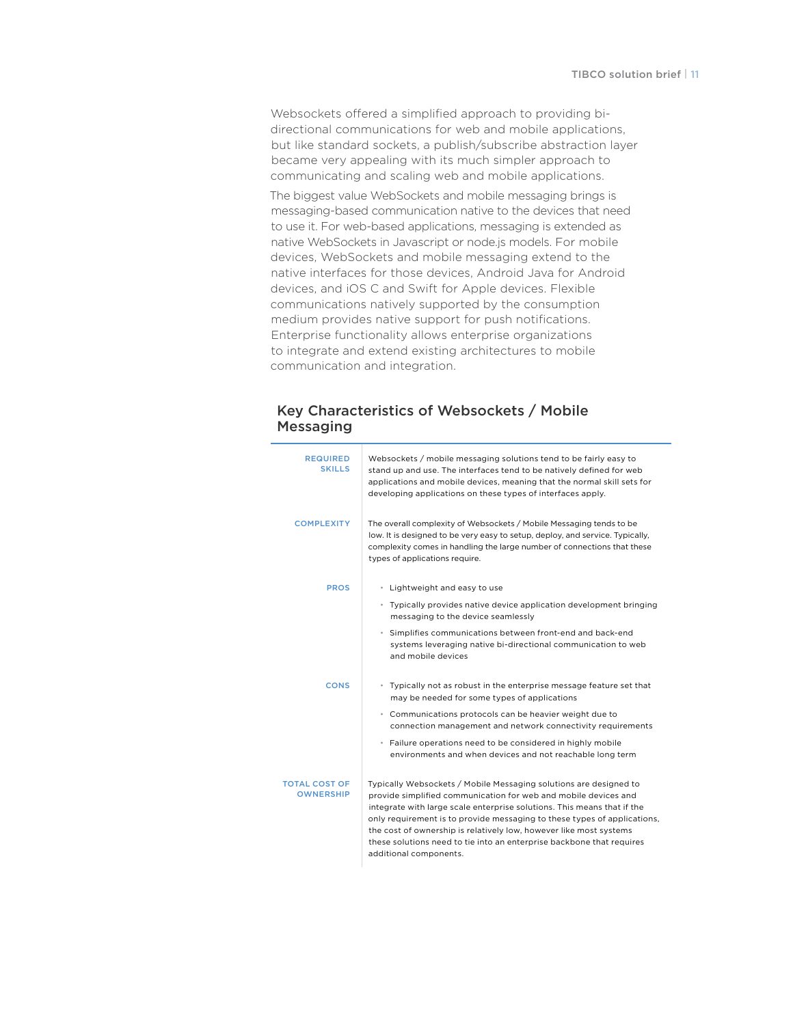Websockets offered a simplified approach to providing bidirectional communications for web and mobile applications, but like standard sockets, a publish/subscribe abstraction layer became very appealing with its much simpler approach to communicating and scaling web and mobile applications.

The biggest value WebSockets and mobile messaging brings is messaging-based communication native to the devices that need to use it. For web-based applications, messaging is extended as native WebSockets in Javascript or node.js models. For mobile devices, WebSockets and mobile messaging extend to the native interfaces for those devices, Android Java for Android devices, and iOS C and Swift for Apple devices. Flexible communications natively supported by the consumption medium provides native support for push notifications. Enterprise functionality allows enterprise organizations to integrate and extend existing architectures to mobile communication and integration.

#### Key Characteristics of Websockets / Mobile **Messaging**

| <b>REQUIRED</b><br><b>SKILLS</b>         | Websockets / mobile messaging solutions tend to be fairly easy to<br>stand up and use. The interfaces tend to be natively defined for web<br>applications and mobile devices, meaning that the normal skill sets for<br>developing applications on these types of interfaces apply.                                                                                                                                                                                  |
|------------------------------------------|----------------------------------------------------------------------------------------------------------------------------------------------------------------------------------------------------------------------------------------------------------------------------------------------------------------------------------------------------------------------------------------------------------------------------------------------------------------------|
| <b>COMPLEXITY</b>                        | The overall complexity of Websockets / Mobile Messaging tends to be<br>low. It is designed to be very easy to setup, deploy, and service. Typically,<br>complexity comes in handling the large number of connections that these<br>types of applications require.                                                                                                                                                                                                    |
| <b>PROS</b>                              | • Lightweight and easy to use                                                                                                                                                                                                                                                                                                                                                                                                                                        |
|                                          | • Typically provides native device application development bringing<br>messaging to the device seamlessly                                                                                                                                                                                                                                                                                                                                                            |
|                                          | * Simplifies communications between front-end and back-end<br>systems leveraging native bi-directional communication to web<br>and mobile devices                                                                                                                                                                                                                                                                                                                    |
| <b>CONS</b>                              | * Typically not as robust in the enterprise message feature set that<br>may be needed for some types of applications                                                                                                                                                                                                                                                                                                                                                 |
|                                          | • Communications protocols can be heavier weight due to<br>connection management and network connectivity requirements                                                                                                                                                                                                                                                                                                                                               |
|                                          | · Failure operations need to be considered in highly mobile<br>environments and when devices and not reachable long term                                                                                                                                                                                                                                                                                                                                             |
| <b>TOTAL COST OF</b><br><b>OWNERSHIP</b> | Typically Websockets / Mobile Messaging solutions are designed to<br>provide simplified communication for web and mobile devices and<br>integrate with large scale enterprise solutions. This means that if the<br>only requirement is to provide messaging to these types of applications,<br>the cost of ownership is relatively low, however like most systems<br>these solutions need to tie into an enterprise backbone that requires<br>additional components. |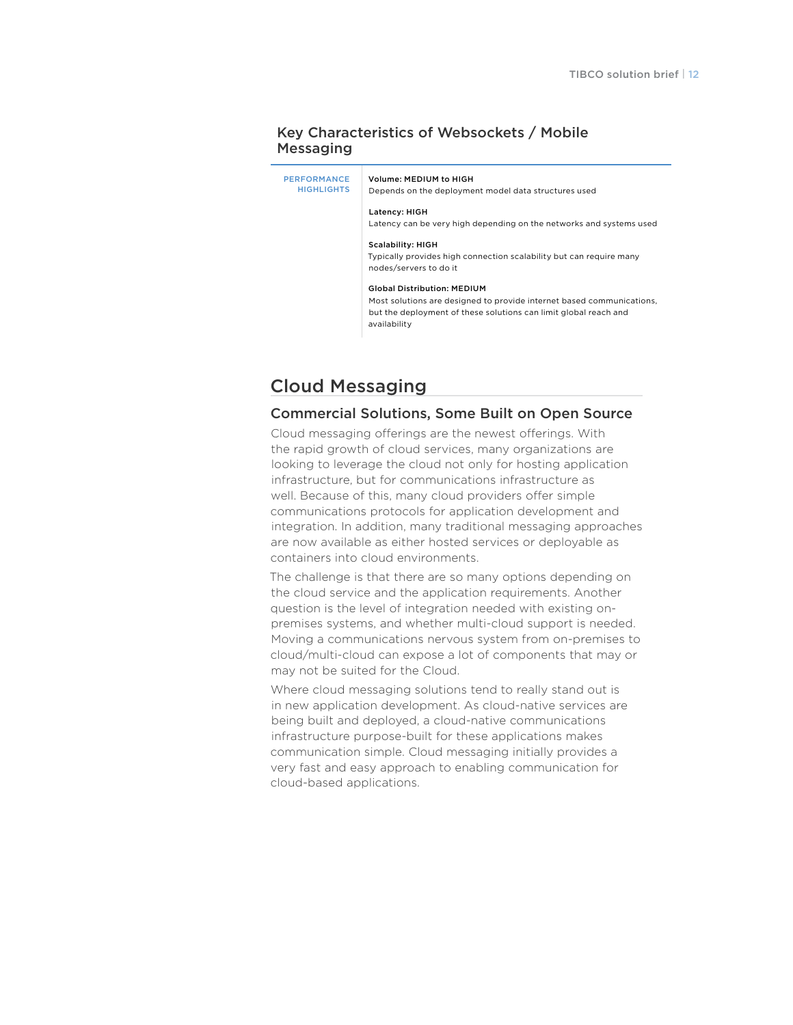#### Key Characteristics of Websockets / Mobile Messaging

**PERFORMANCE HIGHLIGHTS** Volume: MEDIUM to HIGH Depends on the deployment model data structures used Latency: HIGH Latency can be very high depending on the networks and systems used Scalability: HIGH Typically provides high connection scalability but can require many nodes/servers to do it Global Distribution: MEDIUM Most solutions are designed to provide internet based communications, but the deployment of these solutions can limit global reach and availability

# Cloud Messaging

## Commercial Solutions, Some Built on Open Source

Cloud messaging offerings are the newest offerings. With the rapid growth of cloud services, many organizations are looking to leverage the cloud not only for hosting application infrastructure, but for communications infrastructure as well. Because of this, many cloud providers offer simple communications protocols for application development and integration. In addition, many traditional messaging approaches are now available as either hosted services or deployable as containers into cloud environments.

The challenge is that there are so many options depending on the cloud service and the application requirements. Another question is the level of integration needed with existing onpremises systems, and whether multi-cloud support is needed. Moving a communications nervous system from on-premises to cloud/multi-cloud can expose a lot of components that may or may not be suited for the Cloud.

Where cloud messaging solutions tend to really stand out is in new application development. As cloud-native services are being built and deployed, a cloud-native communications infrastructure purpose-built for these applications makes communication simple. Cloud messaging initially provides a very fast and easy approach to enabling communication for cloud-based applications.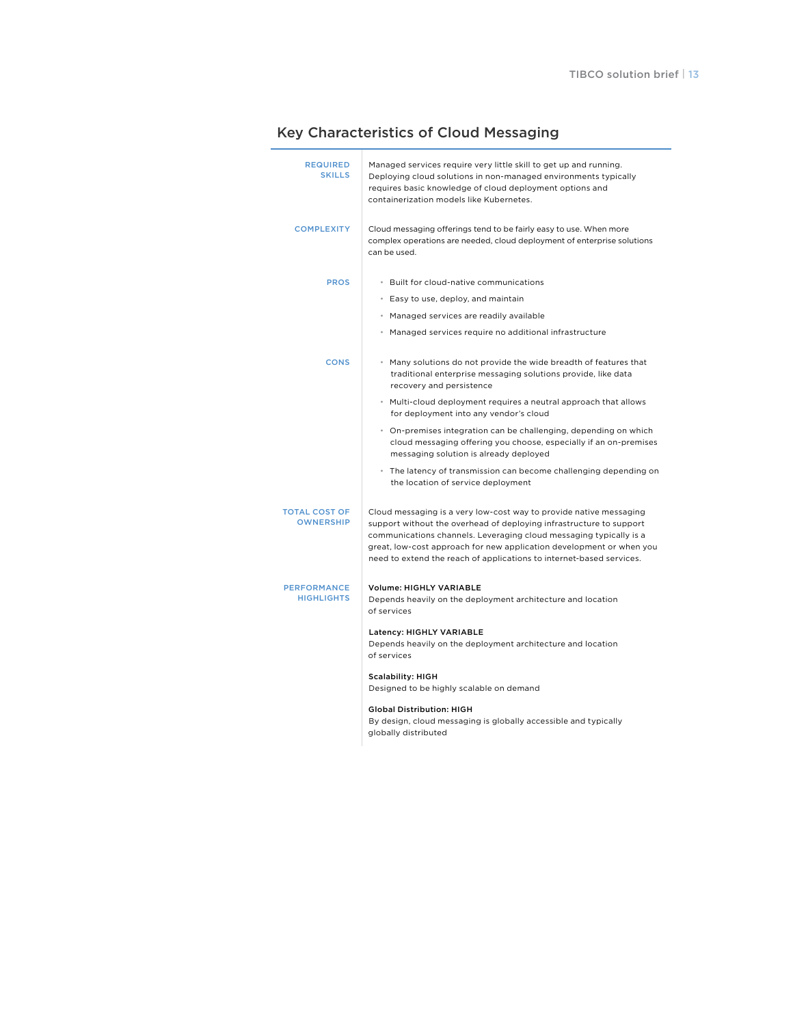| <b>REQUIRED</b><br><b>SKILLS</b>         | Managed services require very little skill to get up and running.<br>Deploying cloud solutions in non-managed environments typically<br>requires basic knowledge of cloud deployment options and<br>containerization models like Kubernetes.                                                                                                                    |
|------------------------------------------|-----------------------------------------------------------------------------------------------------------------------------------------------------------------------------------------------------------------------------------------------------------------------------------------------------------------------------------------------------------------|
| <b>COMPLEXITY</b>                        | Cloud messaging offerings tend to be fairly easy to use. When more<br>complex operations are needed, cloud deployment of enterprise solutions<br>can be used.                                                                                                                                                                                                   |
| <b>PROS</b>                              | · Built for cloud-native communications                                                                                                                                                                                                                                                                                                                         |
|                                          | • Easy to use, deploy, and maintain                                                                                                                                                                                                                                                                                                                             |
|                                          | • Managed services are readily available                                                                                                                                                                                                                                                                                                                        |
|                                          | • Managed services require no additional infrastructure                                                                                                                                                                                                                                                                                                         |
| <b>CONS</b>                              | * Many solutions do not provide the wide breadth of features that<br>traditional enterprise messaging solutions provide, like data<br>recovery and persistence                                                                                                                                                                                                  |
|                                          | • Multi-cloud deployment requires a neutral approach that allows<br>for deployment into any vendor's cloud                                                                                                                                                                                                                                                      |
|                                          | • On-premises integration can be challenging, depending on which<br>cloud messaging offering you choose, especially if an on-premises<br>messaging solution is already deployed                                                                                                                                                                                 |
|                                          | • The latency of transmission can become challenging depending on<br>the location of service deployment                                                                                                                                                                                                                                                         |
| <b>TOTAL COST OF</b><br><b>OWNERSHIP</b> | Cloud messaging is a very low-cost way to provide native messaging<br>support without the overhead of deploying infrastructure to support<br>communications channels. Leveraging cloud messaging typically is a<br>great, low-cost approach for new application development or when you<br>need to extend the reach of applications to internet-based services. |
| <b>PERFORMANCE</b><br><b>HIGHLIGHTS</b>  | <b>Volume: HIGHLY VARIABLE</b><br>Depends heavily on the deployment architecture and location<br>of services                                                                                                                                                                                                                                                    |
|                                          | Latency: HIGHLY VARIABLE<br>Depends heavily on the deployment architecture and location<br>of services                                                                                                                                                                                                                                                          |
|                                          | <b>Scalability: HIGH</b><br>Designed to be highly scalable on demand                                                                                                                                                                                                                                                                                            |
|                                          | <b>Global Distribution: HIGH</b><br>By design, cloud messaging is globally accessible and typically<br>globally distributed                                                                                                                                                                                                                                     |

## Key Characteristics of Cloud Messaging